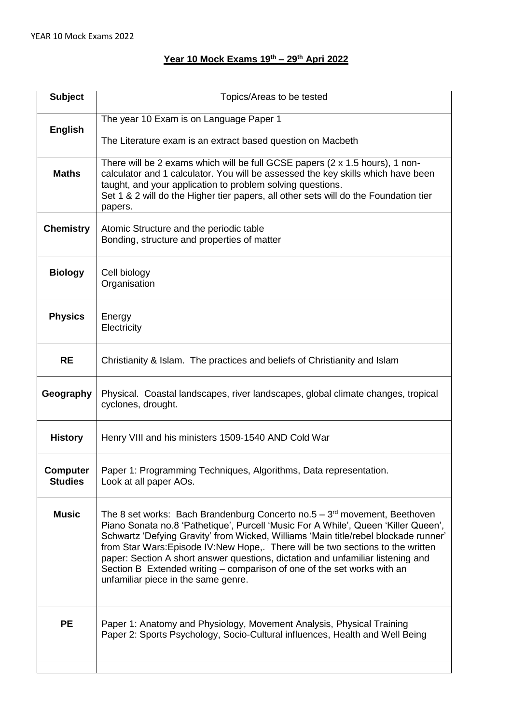## **Year 10 Mock Exams 19th – 29th Apri 2022**

| <b>Subject</b>             | Topics/Areas to be tested                                                                                                                                                                                                                                                                                                                                                                                                                                                                                                                       |
|----------------------------|-------------------------------------------------------------------------------------------------------------------------------------------------------------------------------------------------------------------------------------------------------------------------------------------------------------------------------------------------------------------------------------------------------------------------------------------------------------------------------------------------------------------------------------------------|
| <b>English</b>             | The year 10 Exam is on Language Paper 1<br>The Literature exam is an extract based question on Macbeth                                                                                                                                                                                                                                                                                                                                                                                                                                          |
| <b>Maths</b>               | There will be 2 exams which will be full GCSE papers (2 x 1.5 hours), 1 non-<br>calculator and 1 calculator. You will be assessed the key skills which have been<br>taught, and your application to problem solving questions.<br>Set 1 & 2 will do the Higher tier papers, all other sets will do the Foundation tier<br>papers.                                                                                                                                                                                                               |
| <b>Chemistry</b>           | Atomic Structure and the periodic table<br>Bonding, structure and properties of matter                                                                                                                                                                                                                                                                                                                                                                                                                                                          |
| <b>Biology</b>             | Cell biology<br>Organisation                                                                                                                                                                                                                                                                                                                                                                                                                                                                                                                    |
| <b>Physics</b>             | Energy<br>Electricity                                                                                                                                                                                                                                                                                                                                                                                                                                                                                                                           |
| <b>RE</b>                  | Christianity & Islam. The practices and beliefs of Christianity and Islam                                                                                                                                                                                                                                                                                                                                                                                                                                                                       |
| Geography                  | Physical. Coastal landscapes, river landscapes, global climate changes, tropical<br>cyclones, drought.                                                                                                                                                                                                                                                                                                                                                                                                                                          |
| <b>History</b>             | Henry VIII and his ministers 1509-1540 AND Cold War                                                                                                                                                                                                                                                                                                                                                                                                                                                                                             |
| Computer<br><b>Studies</b> | Paper 1: Programming Techniques, Algorithms, Data representation.<br>Look at all paper AOs.                                                                                                                                                                                                                                                                                                                                                                                                                                                     |
| <b>Music</b>               | The 8 set works: Bach Brandenburg Concerto no.5 $-3rd$ movement, Beethoven<br>Piano Sonata no.8 'Pathetique', Purcell 'Music For A While', Queen 'Killer Queen',<br>Schwartz 'Defying Gravity' from Wicked, Williams 'Main title/rebel blockade runner'<br>from Star Wars: Episode IV: New Hope, There will be two sections to the written<br>paper: Section A short answer questions, dictation and unfamiliar listening and<br>Section B Extended writing – comparison of one of the set works with an<br>unfamiliar piece in the same genre. |
| <b>PE</b>                  | Paper 1: Anatomy and Physiology, Movement Analysis, Physical Training<br>Paper 2: Sports Psychology, Socio-Cultural influences, Health and Well Being                                                                                                                                                                                                                                                                                                                                                                                           |
|                            |                                                                                                                                                                                                                                                                                                                                                                                                                                                                                                                                                 |